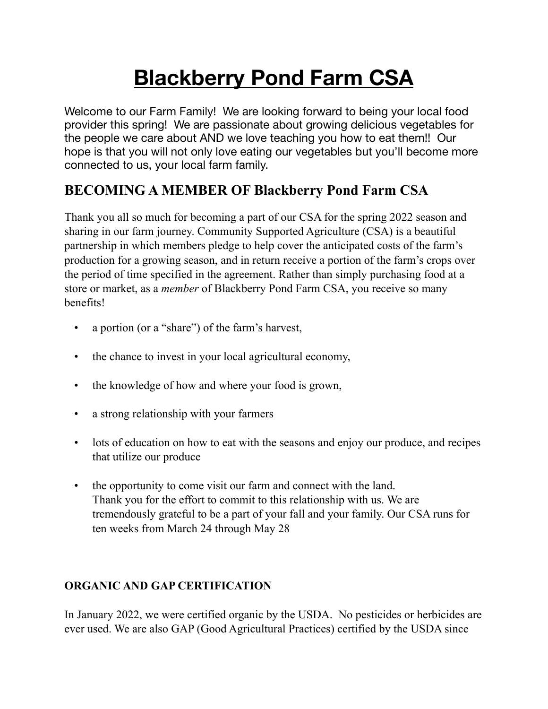# **Blackberry Pond Farm CSA**

Welcome to our Farm Family! We are looking forward to being your local food provider this spring! We are passionate about growing delicious vegetables for the people we care about AND we love teaching you how to eat them!! Our hope is that you will not only love eating our vegetables but you'll become more connected to us, your local farm family.

# **BECOMING A MEMBER OF Blackberry Pond Farm CSA**

Thank you all so much for becoming a part of our CSA for the spring 2022 season and sharing in our farm journey. Community Supported Agriculture (CSA) is a beautiful partnership in which members pledge to help cover the anticipated costs of the farm's production for a growing season, and in return receive a portion of the farm's crops over the period of time specified in the agreement. Rather than simply purchasing food at a store or market, as a *member* of Blackberry Pond Farm CSA, you receive so many benefits!

- a portion (or a "share") of the farm's harvest,
- the chance to invest in your local agricultural economy,
- the knowledge of how and where your food is grown,
- a strong relationship with your farmers
- lots of education on how to eat with the seasons and enjoy our produce, and recipes that utilize our produce
- the opportunity to come visit our farm and connect with the land. Thank you for the effort to commit to this relationship with us. We are tremendously grateful to be a part of your fall and your family. Our CSA runs for ten weeks from March 24 through May 28

# **ORGANIC AND GAP CERTIFICATION**

In January 2022, we were certified organic by the USDA. No pesticides or herbicides are ever used. We are also GAP (Good Agricultural Practices) certified by the USDA since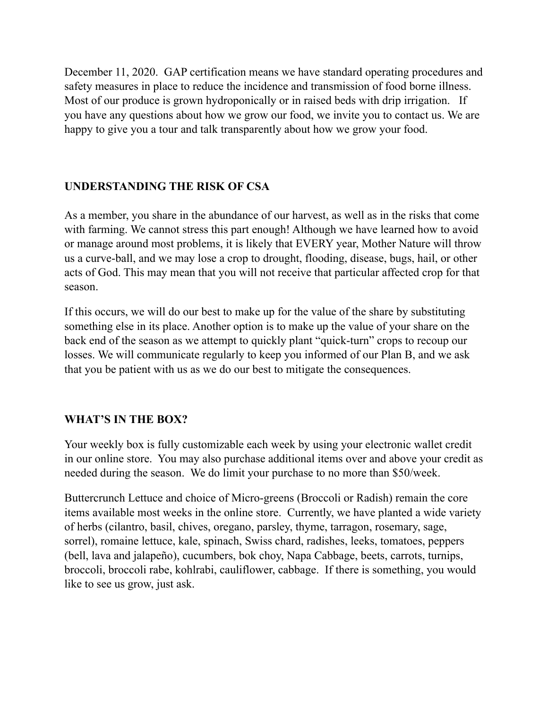December 11, 2020. GAP certification means we have standard operating procedures and safety measures in place to reduce the incidence and transmission of food borne illness. Most of our produce is grown hydroponically or in raised beds with drip irrigation. If you have any questions about how we grow our food, we invite you to contact us. We are happy to give you a tour and talk transparently about how we grow your food.

### **UNDERSTANDING THE RISK OF CSA**

As a member, you share in the abundance of our harvest, as well as in the risks that come with farming. We cannot stress this part enough! Although we have learned how to avoid or manage around most problems, it is likely that EVERY year, Mother Nature will throw us a curve-ball, and we may lose a crop to drought, flooding, disease, bugs, hail, or other acts of God. This may mean that you will not receive that particular affected crop for that season.

If this occurs, we will do our best to make up for the value of the share by substituting something else in its place. Another option is to make up the value of your share on the back end of the season as we attempt to quickly plant "quick-turn" crops to recoup our losses. We will communicate regularly to keep you informed of our Plan B, and we ask that you be patient with us as we do our best to mitigate the consequences.

### **WHAT'S IN THE BOX?**

Your weekly box is fully customizable each week by using your electronic wallet credit in our online store. You may also purchase additional items over and above your credit as needed during the season. We do limit your purchase to no more than \$50/week.

Buttercrunch Lettuce and choice of Micro-greens (Broccoli or Radish) remain the core items available most weeks in the online store. Currently, we have planted a wide variety of herbs (cilantro, basil, chives, oregano, parsley, thyme, tarragon, rosemary, sage, sorrel), romaine lettuce, kale, spinach, Swiss chard, radishes, leeks, tomatoes, peppers (bell, lava and jalapeño), cucumbers, bok choy, Napa Cabbage, beets, carrots, turnips, broccoli, broccoli rabe, kohlrabi, cauliflower, cabbage. If there is something, you would like to see us grow, just ask.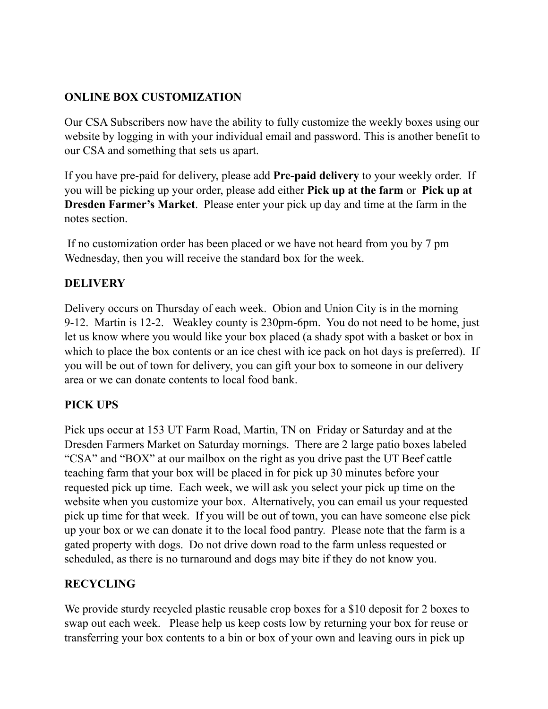# **ONLINE BOX CUSTOMIZATION**

Our CSA Subscribers now have the ability to fully customize the weekly boxes using our website by logging in with your individual email and password. This is another benefit to our CSA and something that sets us apart.

If you have pre-paid for delivery, please add **Pre-paid delivery** to your weekly order. If you will be picking up your order, please add either **Pick up at the farm** or **Pick up at Dresden Farmer's Market**. Please enter your pick up day and time at the farm in the notes section.

 If no customization order has been placed or we have not heard from you by 7 pm Wednesday, then you will receive the standard box for the week.

#### **DELIVERY**

Delivery occurs on Thursday of each week. Obion and Union City is in the morning 9-12. Martin is 12-2. Weakley county is 230pm-6pm. You do not need to be home, just let us know where you would like your box placed (a shady spot with a basket or box in which to place the box contents or an ice chest with ice pack on hot days is preferred). If you will be out of town for delivery, you can gift your box to someone in our delivery area or we can donate contents to local food bank.

### **PICK UPS**

Pick ups occur at 153 UT Farm Road, Martin, TN on Friday or Saturday and at the Dresden Farmers Market on Saturday mornings. There are 2 large patio boxes labeled "CSA" and "BOX" at our mailbox on the right as you drive past the UT Beef cattle teaching farm that your box will be placed in for pick up 30 minutes before your requested pick up time. Each week, we will ask you select your pick up time on the website when you customize your box. Alternatively, you can email us your requested pick up time for that week. If you will be out of town, you can have someone else pick up your box or we can donate it to the local food pantry. Please note that the farm is a gated property with dogs. Do not drive down road to the farm unless requested or scheduled, as there is no turnaround and dogs may bite if they do not know you.

### **RECYCLING**

We provide sturdy recycled plastic reusable crop boxes for a \$10 deposit for 2 boxes to swap out each week. Please help us keep costs low by returning your box for reuse or transferring your box contents to a bin or box of your own and leaving ours in pick up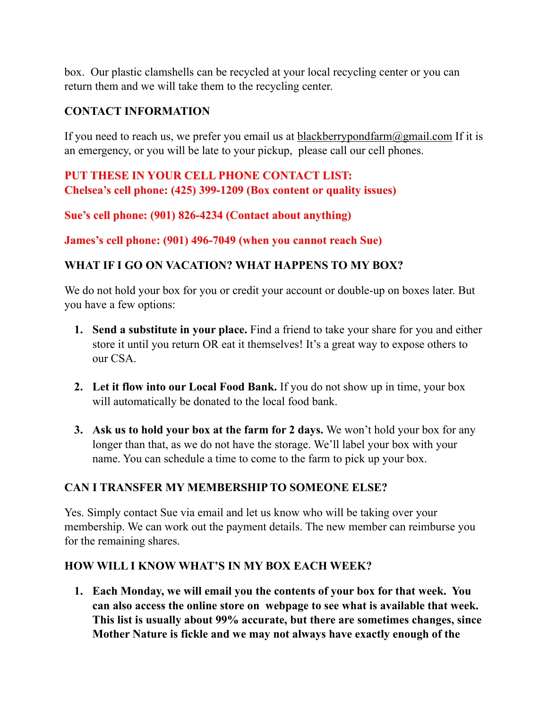box. Our plastic clamshells can be recycled at your local recycling center or you can return them and we will take them to the recycling center.

#### **CONTACT INFORMATION**

If you need to reach us, we prefer you email us at blackberrypondfarm $@g$ gmail.com If it is an emergency, or you will be late to your pickup, please call our cell phones.

#### **PUT THESE IN YOUR CELL PHONE CONTACT LIST: Chelsea's cell phone: (425) 399-1209 (Box content or quality issues)**

**Sue's cell phone: (901) 826-4234 (Contact about anything)**

**James's cell phone: (901) 496-7049 (when you cannot reach Sue)**

### **WHAT IF I GO ON VACATION? WHAT HAPPENS TO MY BOX?**

We do not hold your box for you or credit your account or double-up on boxes later. But you have a few options:

- **1. Send a substitute in your place.** Find a friend to take your share for you and either store it until you return OR eat it themselves! It's a great way to expose others to our CSA.
- **2. Let it flow into our Local Food Bank.** If you do not show up in time, your box will automatically be donated to the local food bank.
- **3. Ask us to hold your box at the farm for 2 days.** We won't hold your box for any longer than that, as we do not have the storage. We'll label your box with your name. You can schedule a time to come to the farm to pick up your box.

### **CAN I TRANSFER MY MEMBERSHIP TO SOMEONE ELSE?**

Yes. Simply contact Sue via email and let us know who will be taking over your membership. We can work out the payment details. The new member can reimburse you for the remaining shares.

#### **HOW WILL I KNOW WHAT'S IN MY BOX EACH WEEK?**

**1. Each Monday, we will email you the contents of your box for that week. You can also access the online store on webpage to see what is available that week. This list is usually about 99% accurate, but there are sometimes changes, since Mother Nature is fickle and we may not always have exactly enough of the**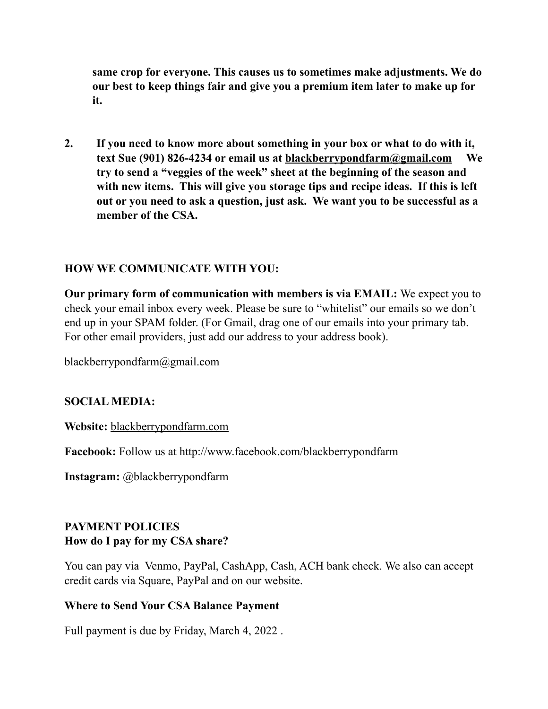**same crop for everyone. This causes us to sometimes make adjustments. We do our best to keep things fair and give you a premium item later to make up for it.** 

**2. If you need to know more about something in your box or what to do with it, text Sue (901) 826-4234 or email us at [blackberrypondfarm@gmail.com](mailto:blackberrypondfarm@gmail.com) We try to send a "veggies of the week" sheet at the beginning of the season and with new items. This will give you storage tips and recipe ideas. If this is left out or you need to ask a question, just ask. We want you to be successful as a member of the CSA.**

#### **HOW WE COMMUNICATE WITH YOU:**

**Our primary form of communication with members is via EMAIL:** We expect you to check your email inbox every week. Please be sure to "whitelist" our emails so we don't end up in your SPAM folder. (For Gmail, drag one of our emails into your primary tab. For other email providers, just add our address to your address book).

blackberrypondfarm@gmail.com

#### **SOCIAL MEDIA:**

**Website:** [blackberrypondfarm.com](http://blackberrypondfarm.com)

**Facebook:** Follow us at http://www.facebook.com/blackberrypondfarm

**Instagram:** @blackberrypondfarm

## **PAYMENT POLICIES How do I pay for my CSA share?**

You can pay via Venmo, PayPal, CashApp, Cash, ACH bank check. We also can accept credit cards via Square, PayPal and on our website.

#### **Where to Send Your CSA Balance Payment**

Full payment is due by Friday, March 4, 2022 .